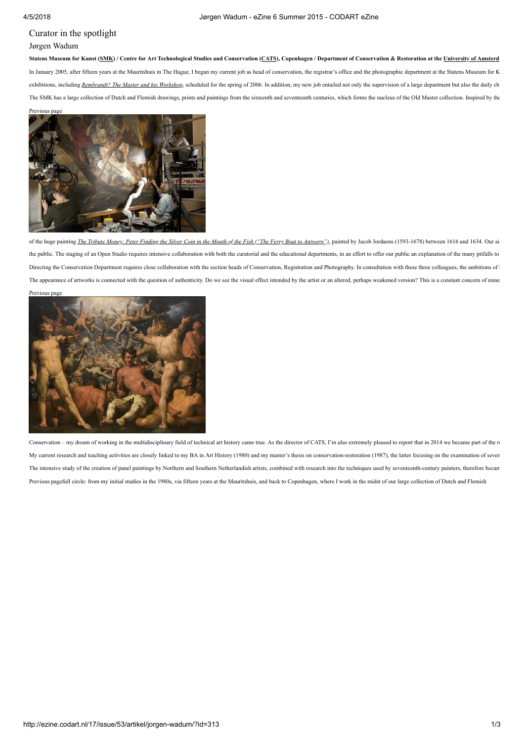## Curator in the spotlight Jørgen Wadum

Statens Museum for Kunst ([SMK\)](http://www.smk.dk/) / Centre for Art Technological Studies and Conservation ([CATS\)](http://www.cats-cons.dk/), Copenhagen / Department of Conservation & Restoration at the [University](http://www.uva.nl/) of Amsterd In January 2005, after fifteen years at the Mauritshuis in The Hague, I began my current job as head of conservation, the registrar's office and the photographic department at the Statens Museum for K exhibitions, including [Rembrandt?](http://www.smk.dk/en/visit-the-museum/news/artikel/rembrandt-the-master-and-his-workshop-3/) The Master and his Workshop, scheduled for the spring of 2006. In addition, my new job entailed not only the supervision of a large department but also the daily ch The SMK has a large collection of Dutch and Flemish drawings, prints and paintings from the sixteenth and seventeenth centuries, which forms the nucleus of the Old Master collection. Inspired by the



of the huge painting The Tribute Money: Peter Finding the Silver Coin in the Mouth of the Fish ("The Ferry Boat to [Antwerp"\)](http://www.smk.dk/en/explore-the-art/highlights/jacob-jordaens-the-apostle-peter-finding-the-tribute-money-in-the-mouth-of-the-fish-also-called-the-ferry-boat-to-antwerp/), painted by Jacob Jordaens (1593-1678) between 1616 and 1634. Our ai the public. The staging of an Open Studio requires intensive collaboration with both the curatorial and the educational departments, in an effort to offer our public an explanation of the many pitfalls to Directing the Conservation Department requires close collaboration with the section heads of Conservation, Registration and Photography. In consultation with these three colleagues, the ambitions of the section and Photogr The appearance of artworks is connected with the question of authenticity. Do we see the visual effect intended by the artist or an altered, perhaps weakened version? This is a constant concern of mine



Conservation – my dream of working in the multidisciplinary field of technical art history came true. As the director of CATS, I'm also extremely pleased to report that in 2014 we became part of the report My current research and teaching activities are closely linked to my BA in Art History (1980) and my master's thesis on conservation-restoration (1987), the latter focusing on the examination of seven The intensive study of the creation of panel paintings by Northern and Southern Netherlandish artists, combined with research into the techniques used by seventeenth-century painters, therefore becam Previous pagefull circle: from my initial studies in the 1980s, via fifteen years at the Mauritshuis, and back to Copenhagen, where I work in the midst of our large collection of Dutch and Flemish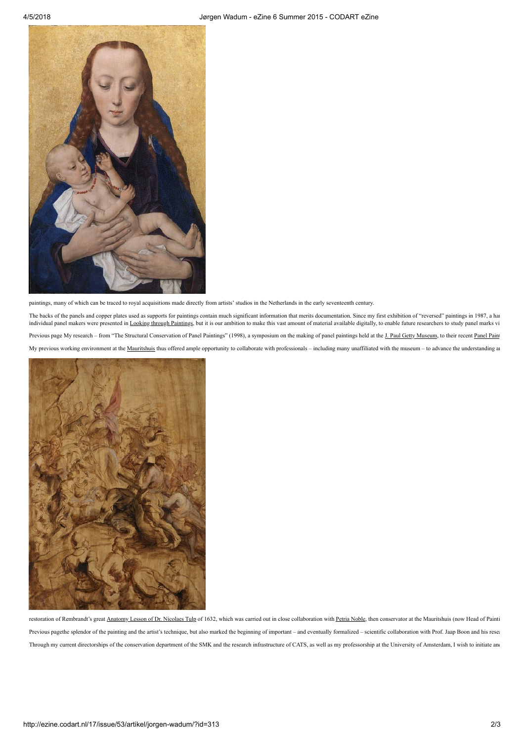

paintings, many of which can be traced to royal acquisitions made directly from artists' studios in the Netherlands in the early seventeenth century.

The backs of the panels and copper plates used as supports for paintings contain much significant information that merits documentation. Since my first exhibition of "reversed" paintings in 1987, a har individual panel makers were presented in Looking through [Paintings](http://www.archetype.co.uk/publication-details.php?id=94), but it is our ambition to make this vast amount of material available digitally, to enable future researchers to study panel marks vi Previous page My research – from "The Structural Conservation of Panel Paintings" (1998), a symposium on the making of panel paintings held at the J. Paul Getty [Museum](http://www.codart.nl/291/institutions/details/?institution_id=105), to their recent [Panel](http://www.getty.edu/conservation/our_projects/education/panelpaintings/) Paint My previous working environment at the [Mauritshuis](http://www.mauritshuis.nl/) thus offered ample opportunity to collaborate with professionals - including many unaffiliated with the museum - to advance the understanding an



restoration of Rembrandt's great [Anatomy](http://www.mauritshuis.nl/en/explore/the-collection/artworks/the-anatomy-lesson-of-dr-nicolaes-tulp-146/) Lesson of Dr. Nicolaes Tulp of 1632, which was carried out in close collaboration with Petria [Noble,](http://www.codart.nl/108/persons/details/?person_id=1494) then conservator at the Mauritshuis (now Head of Painti Previous pagethe splendor of the painting and the artist's technique, but also marked the beginning of important – and eventually formalized – scientific collaboration with Prof. Jaap Boon and his resea Through my current directorships of the conservation department of the SMK and the research infrastructure of CATS, as well as my professorship at the University of Amsterdam, I wish to initiate and